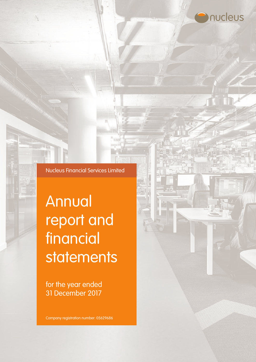

Nucleus Financial Services Limited

# Annual report and financial statements

for the year ended 31 December 2017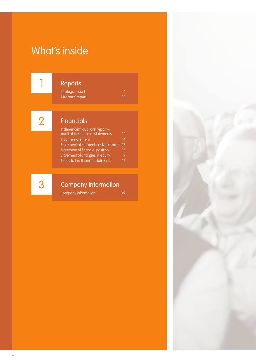# What's inside

1

# Reports

Strategic report 4<br>Directors' report 10 Directors' report

2

# **Financials**

| Independent auditors' report -    |    |
|-----------------------------------|----|
| audit of the financial statements | 12 |
| Income statement                  | 14 |
| Statement of comprehensive income | 15 |
| Statement of financial position   | 16 |
| Statement of changes in equity    | 17 |
| Notes to the financial statments  | 18 |

3

# Company information

Company information 39

2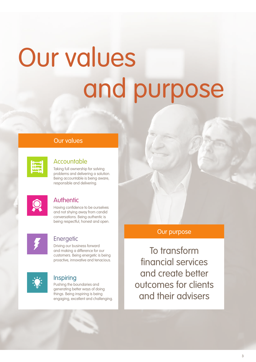# Our values and purpose

# Our values

| m                       |  |
|-------------------------|--|
| $\mathbf{u} \mathbf{u}$ |  |
| ٠                       |  |
|                         |  |
|                         |  |

# **Accountable**

Taking full ownership for solving problems and delivering a solution. Being accountable is being aware, responsible and delivering.

# **Authentic**

Having confidence to be ourselves and not shying away from candid conversations. Being authentic is being respectful, honest and open.



# **Energetic**

Driving our business forward and making a difference for our customers. Being energetic is being proactive, innovative and tenacious.



# Inspiring

Pushing the boundaries and generating better ways of doing things. Being inspiring is being engaging, excellent and challenging.

# Our purpose

To transform financial services and create better outcomes for clients and their advisers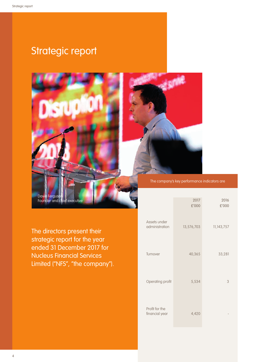# Strategic report





## The company's key performance indicators are

The directors present their strategic report for the year ended 31 December 2017 for Nucleus Financial Services Limited ("NFS", "the company").

|                                  | 2017<br>£'000 | 2016<br>£'000 |
|----------------------------------|---------------|---------------|
| Assets under<br>administration   | 13,576,703    | 11,143,757    |
| Turnover                         | 40,365        | 33,281        |
| Operating profit                 | 5,534         | 3             |
| Profit for the<br>financial year | 4,420         |               |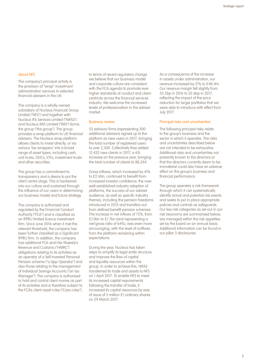#### About NFS

The company's principal activity is the provision of "wrap" investment administration services to selected financial advisers in the UK.

The company is a wholly owned subsidiary of Nucleus Financial Group Limited ("NFG") and together with Nucleus IFA Services Limited ("NIFAS") and Nucleus IMX Limited ("IMX") forms the group ("the group"). The group provides a wrap platform to UK financial advisers. The Nucleus wrap platform allows clients to invest directly, or via various 'tax wrappers' into a broad range of asset types, including cash, unit trusts, OEICs, ETFs, investment trusts and other securities.

The group has a commitment to transparency and a desire to put the client centre stage. This is hardwired into our culture and sustained through the influence of our users in determining our business model and future strategy.

The company is authorised and regulated by the Financial Conduct Authority ("FCA") and is classified as an IFPRU limited licence investment firm. Since June 2016 when it met the relevant threshold, the company has been further classified as a Significant IFPRU firm. In addition, the company has additional FCA and Her Majesty's Revenue and Customs ("HMRC") obligations relating to its activities as an operator of a Self Invested Personal Pension scheme ("a Sipp Operator") and also those relating to the management of Individual Savings Accounts ("an Isa Manager"). The company is authorised to hold and control client money as part of its activities and is therefore subject to the FCA's client asset rules ("Cass rules"). In terms of recent regulatory change we believe that our business model and corporate culture are consistent with the FCA agenda to promote ever higher standards of conduct and clientcentricity across the financial services industry. We welcome the increased levels of professionalism in the adviser market.

#### Business review

53 advisory firms (representing 200 additional advisers) signed up to the platform as new users in 2017, bringing the total number of registered users to over 2,300. Collectively they added 12,432 new clients in 2017, a 6% increase on the previous year, bringing the total number of clients to 88,244.

Gross inflows, which increased by 41% to £2.6bn, continued to benefit from increased investor confidence, the now well-established industry adoption of platforms, the success of our adviser audience, as well as specific industry themes, including the pension freedoms introduced in 2015 and transfers out from defined benefit pension schemes. The increase in net inflows of 72%, from £1.0bn to £1.7bn (and representing a net/gross ratio of 64%), was even more encouraging, with the level of outflows from the platform remaining within expectations.

During the year, Nucleus has taken steps to simplify its legal entity structure and improve the flow of capital and liquidity resources within the group. In order to achieve this, NIFAS transferred its trade and assets to NFS on 1 April 2017. To enable NFS to meet its increased capital requirements following the transfer of trade, it increased its capital resources by way of issue of 5 million £1 ordinary shares on 29 March 2017.

As a consequence of the increase in assets under administration, our revenue increased by 21% to £40.4m. Our revenue margin fell slightly from 33.5bp in 2016 to 32.6bp in 2017, reflecting the impact of the price reduction for larger portfolios that we were able to introduce with effect from July 2017.

#### Principal risks and uncertainties

The following principal risks relate to the group's business and the sector in which it operates. The risks and uncertainties described below are not intended to be exhaustive. Additional risks and uncertainties not presently known to the directors or that the directors currently deem to be immaterial could also have an adverse effect on the group's business and financial performance.

The group operates a risk framework through which it can systematically identify actual and potential risk events and seeks to put in place appropriate policies and controls as safeguards. Our key risk categories as set out in our risk taxonomy are summarised below, are managed within the risk appetites set by the board on an annual basis. Additional information can be found in our pillar 3 disclosures.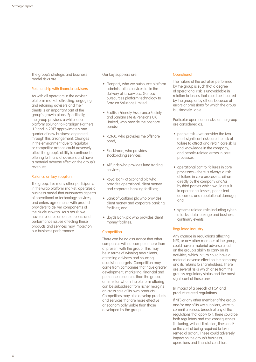The group's strategic and business model risks are:

#### Relationship with financial advisers

As with all operators in the adviser platform market, attracting, engaging and retaining advisers and their clients is an important part of the group's growth plans. Specifically, the group provides a white label platform solution to Paradigm Partners LLP and in 2017 approximately one quarter of new business originated through this arrangement. Changes in the environment due to regulator or competitor actions could adversely affect the group's ability to continue its offering to financial advisers and have a material adverse effect on the group's revenues.

#### Reliance on key suppliers

The group, like many other participants in the wrap platform market, operates a business model that outsources aspects of operational or technology services, and enters agreements with product providers to deliver components of the Nucleus wrap. As a result, we have a reliance on our suppliers and performance issues affecting these products and services may impact on our business performance.

Our key suppliers are:

- Genpact, who we outsource platform administration services to. In the delivery of its services, Genpact outsources platform technology to Bravura Solutions Limited;
- Scottish Friendly Assurance Society and Sanlam Life & Pensions UK Limited, who provide the onshore bonds;
- RL360, who provides the offshore bond;
- Stocktrade, who provides stockbroking services;
- Allfunds who provides fund trading services;
- Royal Bank of Scotland plc who provides operational, client money and corporate banking facilities;
- Bank of Scotland plc who provides client money and corporate banking facilities; and
- Lloyds Bank plc who provides client money facilities.

#### **Competition**

There can be no assurance that other companies will not compete more than at present with the group. This may be in terms of winning new clients, attracting advisers and sourcing acquisition targets. Competition may come from companies that have greater development, marketing, financial and personnel resources than the group, or firms for whom the platform offering can be subsidised from richer margins on cross sale of its own products. Competitors may also develop products and services that are more effective or economically viable than those developed by the group.

#### **Operational**

The nature of the activities performed by the group is such that a degree of operational risk is unavoidable in relation to losses that could be incurred by the group or by others because of errors or omissions for which the group is ultimately liable.

Particular operational risks for the group are considered as:

- people risk we consider the two most significant risks are the risk of failure to attract and retain core skills and knowledge in the company, and people-related errors in core processes;
- operational control failures in core processes – there is always a risk of failure in core processes, either directly by the company and/or by third parties which would result in operational losses, poor client outcomes and reputational damage; and
- systems related risks including cyberattacks, data leakage and business continuity events.

#### Regulated industry

Any change in regulations affecting NFS, or any other member of the group, could have a material adverse effect on the group's ability to carry on its activities, which in turn could have a material adverse effect on the company and its returns to shareholders. There are several risks which arise from the group's regulatory status and the most significant of these are:

(i) Impact of a breach of FCA and product related regulations

If NFS or any other member of the group, and/or any of its key suppliers, were to commit a serious breach of any of the regulations that apply to it, there could be both regulatory and cost consequences (including, without limitation, fines and/ or the cost of being required to take remedial action). These could adversely impact on the group's business, operations and financial condition.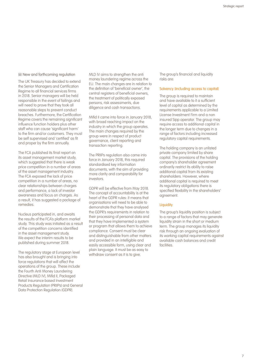(ii) New and forthcoming regulation

The UK Treasury has decided to extend the Senior Managers and Certification Regime to all financial services firms in 2018. Senior managers will be held responsible in the event of failings and will need to prove that they took all reasonable steps to prevent conduct breaches. Furthermore, the Certification Regime covers the remaining significant influence function holders plus other staff who can cause 'significant harm' to the firm and/or customers. They must be self supervised and 'certified' as fit and proper by the firm annually.

The FCA published its final report on its asset management market study, which suggested that there is weak price competition in a number of areas of the asset management industry. The FCA exposed the lack of price competition in a number of areas, no clear relationships between charges and performance, a lack of investor awareness and focus on charges. As a result, it has suggested a package of remedies.

Nucleus participated in, and awaits the results of the FCA's platform market study. This study was initiated as a result of the competition concerns identified in the asset management study. We expect the interim results to be published during summer 2018.

The regulatory stage at European level has also brought and is bringing into force regulations that will affect the operations of the group. These include the Fourth Anti Money Laundering Directive (MLD IV), Mifid II, Packaged Retail Insurance based Investment Products Regulation (PRIIPs) and General Data Protection Regulation (GDPR).

MLD IV aims to strengthen the anti money laundering regime across the EU. The main changes are in relation to the definition of 'beneficial owner', the central registers of beneficial owners, the treatment of politically exposed persons, risk assessments, due diligence and cash transactions.

Mifid II came into force in January 2018, with broad reaching impact on the industry in which the group operates. The main changes required by the group were in respect of product governance, client reporting and transaction reporting.

The PRIIPs regulation also came into force in January 2018, this required standardised key information documents, with the aim of providing more clarity and comparability for investors.

GDPR will be effective from May 2018. The concept of accountability is at the heart of the GDPR rules: it means that organisations will need to be able to demonstrate that they have analysed the GDPR's requirements in relation to their processing of personal data and that they have implemented a system or program that allows them to achieve compliance. Consent must be clear and distinguishable from other matters and provided in an intelligible and easily accessible form, using clear and plain language. It must be as easy to withdraw consent as it is to give.

The group's financial and liquidity risks are:

#### Solvency (including access to capital)

The group is required to maintain and have available to it a sufficient level of capital as determined by the requirements applicable to a Limited License Investment Firm and a non insured Sipp operator. The group may require access to additional capital in the longer term due to changes in a range of factors including increased regulatory capital requirements.

The holding company is an unlisted private company limited by share capital. The provisions of the holding company's shareholder agreement ordinarily restrict its ability to raise additional capital from its existing shareholders. However, where additional capital is required to meet its regulatory obligations there is specified flexibility in the shareholders' agreement.

#### **Liquidity**

The group's liquidity position is subject to a range of factors that may generate liquidity strain in the short or medium term. The group manages its liquidity risk through an ongoing evaluation of its working capital requirements against available cash balances and credit facilities.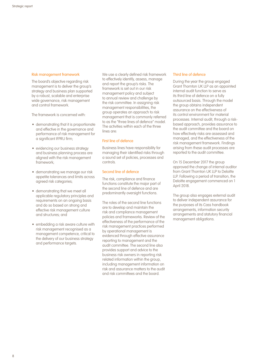#### Risk management framework

The board's objective regarding risk management is to deliver the group's strategy and business plan supported by a robust, scalable and enterprise wide governance, risk management and control framework.

The framework is concerned with:

- demonstrating that it is proportionate and effective in the governance and performance of risk management for a significant IFPRU firm;
- evidencing our business strategy and business planning process are aligned with the risk management framework;
- demonstrating we manage our risk appetite tolerances and limits across agreed risk categories;
- demonstrating that we meet all applicable regulatory principles and requirements on an ongoing basis and do so based on strong and effective risk management culture and structures; and
- embedding a risk aware culture with risk management recognised as a management competence, critical to the delivery of our business strategy and performance targets.

We use a clearly defined risk framework to effectively identify, assess, manage and report the group's risks. The framework is set out in our risk management policy and subject to annual review and challenge by the risk committee. In assigning risk management responsibilities, the group operates an approach to risk management that is commonly referred to as the "three lines of defence" model. The activities within each of the three lines are:

#### First line of defence

Business lines have responsibility for managing their identified risks through a sound set of policies, processes and controls.

#### Second line of defence

The risk, compliance and finance functions constitute the major part of the second line of defence and are predominantly oversight functions.

The roles of the second line functions are to develop and maintain the risk and compliance management policies and frameworks. Review of the effectiveness of the performance of the risk management practices performed by operational management is evidenced through effective assurance reporting to management and the audit committee. The second line also provides support and advice to the business risk owners in reporting risk related information within the group, including management information on risk and assurance matters to the audit and risk committees and the board.

#### Third line of defence

During the year the group engaged Grant Thornton UK LLP as an appointed internal audit function to serve as its third line of defence on a fully outsourced basis. Through the model the group obtains independent assurance on the effectiveness of its control environment for material processes. Internal audit, through a riskbased approach, provides assurance to the audit committee and the board on how effectively risks are assessed and managed, and the effectiveness of the risk management framework. Findings arising from these audit processes are reported to the audit committee.

On 15 December 2017 the group approved the change of internal auditor from Grant Thornton UK LLP to Deloitte LLP. Following a period of transition, the Deloitte engagement commenced on 1 April 2018.

The group also engages external audit to deliver independent assurance for the purposes of its Cass handbook arrangements, information security arrangements and statutory financial management obligations.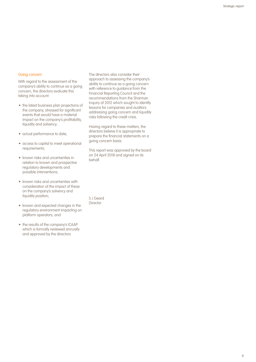#### Going concern

With regard to the assessment of the company's ability to continue as a going concern, the directors evaluate this taking into account:

- the latest business plan projections of the company, stressed for significant events that would have a material impact on the company's profitability, liquidity and solvency;
- actual performance to date;
- access to capital to meet operational requirements;
- known risks and uncertainties in relation to known and prospective regulatory developments and possible interventions;
- known risks and uncertainties with consideration of the impact of these on the company's solvency and liquidity position;
- known and expected changes in the regulatory environment impacting on platform operators; and
- the results of the company's ICAAP which is formally reviewed annually and approved by the directors

The directors also consider their approach to assessing the company's ability to continue as a going concern with reference to guidance from the Financial Reporting Council and the recommendations from the Sharman Inquiry of 2012 which sought to identify lessons for companies and auditors addressing going concern and liquidity risks following the credit crisis.

Having regard to these matters, the directors believe it is appropriate to prepare the financial statements on a going concern basis.

This report was approved by the board on 24 April 2018 and signed on its behalf.

S J Geard Director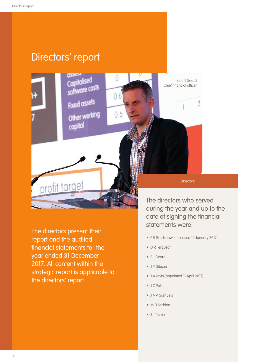# Directors' report

 $(11)$ 

software costs

**Fixed assets** 

Other working

capital

profit target  $\sqrt{2}$ The directors present their

0

 $0.6$ 

 $0.6$ 

report and the audited financial statements for the year ended 31 December 2017. All content within the strategic report is applicable to the directors' report.

The directors who served during the year and up to the date of signing the financial statements were:

**Directors** 

Stuart Geard Chief financial officer

 $\gamma$ 

- P R Bradshaw (deceased 12 January 2017)
- D R Ferguson
- S J Geard
- J P Gibson
- J A Levin (appointed 11 April 2017)
- J C Polin
- J A A Samuels
- M D Seddon
- S J Tucker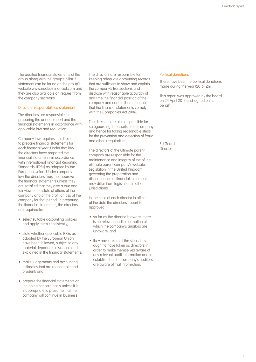The audited financial statements of the group along with the group's pillar 3 statement can be found on the group's website www.nucleusfinancial.com and they are also available on request from the company secretary.

#### Directors' responsibilities statement

The directors are responsible for preparing the annual report and the financial statements in accordance with applicable law and regulation.

Company law requires the directors to prepare financial statements for each financial year. Under that law the directors have prepared the financial statements in accordance with International Financial Reporting Standards (IFRSs) as adopted by the European Union. Under company law the directors must not approve the financial statements unless they are satisfied that they give a true and fair view of the state of affairs of the company and of the profit or loss of the company for that period. In preparing the financial statements, the directors are required to:

- select suitable accounting policies and apply them consistently;
- state whether applicable IFRSs as adopted by the European Union have been followed, subject to any material departures disclosed and explained in the financial statements;
- make judgements and accounting estimates that are reasonable and prudent; and
- prepare the financial statements on the going concern basis unless it is inappropriate to presume that the company will continue in business.

The directors are responsible for keeping adequate accounting records that are sufficient to show and explain the company's transactions and disclose with reasonable accuracy at any time the financial position of the company and enable them to ensure that the financial statements comply with the Companies Act 2006.

The directors are also responsible for safeguarding the assets of the company and hence for taking reasonable steps for the prevention and detection of fraud and other irregularities.

The directors of the ultimate parent company are responsible for the maintenance and integrity of the of the ultimate parent company's website. Legislation in the United Kingdom governing the preparation and dissemination of financial statements may differ from legislation in other jurisdictions.

In the case of each director in office at the date the directors' report is approved:

- so far as the director is aware, there is no relevant audit information of which the company's auditors are unaware; and
- they have taken all the steps they ought to have taken as directors in order to make themselves aware of any relevant audit information and to establish that the company's auditors are aware of that information.

#### Political donations

There have been no political donations made during the year (2016: £nil).

This report was approved by the board on 24 April 2018 and signed on its behalf.

S J Geard Director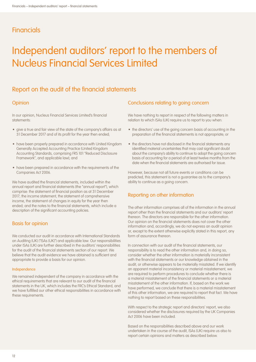# **Financials**

# Independent auditors' report to the members of Nucleus Financial Services Limited

# Report on the audit of the financial statements

## **Opinion**

In our opinion, Nucleus Financial Services Limited's financial statements:

- give a true and fair view of the state of the company's affairs as at 31 December 2017 and of its profit for the year then ended;
- have been properly prepared in accordance with United Kingdom Generally Accepted Accounting Practice (United Kingdom Accounting Standards, comprising FRS 101 "Reduced Disclosure Framework", and applicable law); and
- have been prepared in accordance with the requirements of the Companies Act 2006.

We have audited the financial statements, included within the annual report and financial statements (the "annual report"), which comprise: the statement of financial position as at 31 December 2017; the income statement, the statement of comprehensive income, the statement of changes in equity for the year then ended; and the notes to the financial statements, which include a description of the significant accounting policies.

## Basis for opinion

We conducted our audit in accordance with International Standards on Auditing (UK) ("ISAs (UK)") and applicable law. Our responsibilities under ISAs (UK) are further described in the auditors' responsibilities for the audit of the financial statements section of our report. We believe that the audit evidence we have obtained is sufficient and appropriate to provide a basis for our opinion.

#### Independence

We remained independent of the company in accordance with the ethical requirements that are relevant to our audit of the financial statements in the UK, which includes the FRC's Ethical Standard, and we have fulfilled our other ethical responsibilities in accordance with these requirements.

## Conclusions relating to going concern

We have nothing to report in respect of the following matters in relation to which ISAs (UK) require us to report to you when:

- the directors' use of the going concern basis of accounting in the preparation of the financial statements is not appropriate; or
- the directors have not disclosed in the financial statements any identified material uncertainties that may cast significant doubt about the company's ability to continue to adopt the going concern basis of accounting for a period of at least twelve months from the date when the financial statements are authorised for issue.

However, because not all future events or conditions can be predicted, this statement is not a guarantee as to the company's ability to continue as a going concern.

## Reporting on other information

The other information comprises all of the information in the annual report other than the financial statements and our auditors' report thereon. The directors are responsible for the other information. Our opinion on the financial statements does not cover the other information and, accordingly, we do not express an audit opinion or, except to the extent otherwise explicitly stated in this report, any form of assurance thereon.

In connection with our audit of the financial statements, our responsibility is to read the other information and, in doing so, consider whether the other information is materially inconsistent with the financial statements or our knowledge obtained in the audit, or otherwise appears to be materially misstated. If we identify an apparent material inconsistency or material misstatement, we are required to perform procedures to conclude whether there is a material misstatement of the financial statements or a material misstatement of the other information. If, based on the work we have performed, we conclude that there is a material misstatement of this other information, we are required to report that fact. We have nothing to report based on these responsibilities.

With respect to the strategic report and directors' report, we also considered whether the disclosures required by the UK Companies Act 2006 have been included.

Based on the responsibilities described above and our work undertaken in the course of the audit, ISAs (UK) require us also to report certain opinions and matters as described below.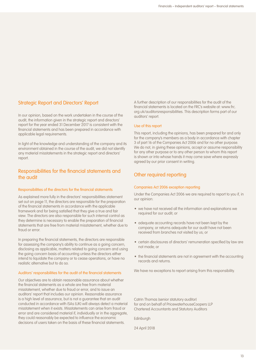# Strategic Report and Directors' Report

In our opinion, based on the work undertaken in the course of the audit, the information given in the strategic report and directors' report for the year ended 31 December 2017 is consistent with the financial statements and has been prepared in accordance with applicable legal requirements.

In light of the knowledge and understanding of the company and its environment obtained in the course of the audit, we did not identify any material misstatements in the strategic report and directors' report.

## Responsibilities for the financial statements and the audit

#### Responsibilities of the directors for the financial statements

As explained more fully in the directors' responsibilities statement set out on page 11, the directors are responsible for the preparation of the financial statements in accordance with the applicable framework and for being satisfied that they give a true and fair view. The directors are also responsible for such internal control as they determine is necessary to enable the preparation of financial statements that are free from material misstatement, whether due to fraud or error.

In preparing the financial statements, the directors are responsible for assessing the company's ability to continue as a going concern, disclosing as applicable, matters related to going concern and using the going concern basis of accounting unless the directors either intend to liquidate the company or to cease operations, or have no realistic alternative but to do so.

#### Auditors' responsibilities for the audit of the financial statements

Our objectives are to obtain reasonable assurance about whether the financial statements as a whole are free from material misstatement, whether due to fraud or error, and to issue an auditors' report that includes our opinion. Reasonable assurance is a high level of assurance, but is not a guarantee that an audit conducted in accordance with ISAs (UK) will always detect a material misstatement when it exists. Misstatements can arise from fraud or error and are considered material if, individually or in the aggregate, they could reasonably be expected to influence the economic decisions of users taken on the basis of these financial statements.

A further description of our responsibilities for the audit of the financial statements is located on the FRC's website at: www.frc. org.uk/auditorsresponsibilities. This description forms part of our auditors' report.

#### Use of this report

This report, including the opinions, has been prepared for and only for the company's members as a body in accordance with chapter 3 of part 16 of the Companies Act 2006 and for no other purpose. We do not, in giving these opinions, accept or assume responsibility for any other purpose or to any other person to whom this report is shown or into whose hands it may come save where expressly agreed by our prior consent in writing.

# Other required reporting

#### Companies Act 2006 exception reporting

Under the Companies Act 2006 we are required to report to you if, in our opinion:

- we have not received all the information and explanations we required for our audit; or
- adequate accounting records have not been kept by the company, or returns adequate for our audit have not been received from branches not visited by us; or
- certain disclosures of directors' remuneration specified by law are not made; or
- the financial statements are not in agreement with the accounting records and returns.

We have no exceptions to report arising from this responsibility.

Catrin Thomas (senior statutory auditor) for and on behalf of PricewaterhouseCoopers LLP Chartered Accountants and Statutory Auditors

Edinburgh

24 April 2018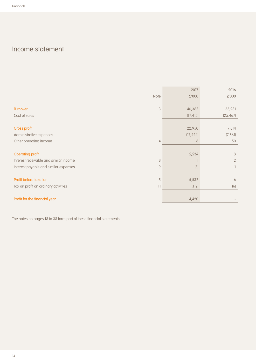# Income statement

|                                                                 | 2017      | 2016           |
|-----------------------------------------------------------------|-----------|----------------|
| Note                                                            | £'000     | £'000          |
|                                                                 |           |                |
| $\mathfrak{B}$<br><b>Turnover</b>                               | 40,365    | 33,281         |
| Cost of sales                                                   | (17, 415) | (25, 467)      |
|                                                                 |           |                |
| Gross profit                                                    | 22,950    | 7,814          |
| Administrative expenses                                         | (17, 424) | (7, 86]        |
| Other operating income<br>$\overline{4}$                        | 8         | 50             |
|                                                                 |           |                |
| <b>Operating profit</b>                                         | 5,534     | 3              |
| Interest receivable and similar income<br>$\,8\,$               |           | $\overline{2}$ |
| Interest payable and similar expenses<br>9                      | (3)       |                |
|                                                                 |           |                |
| Profit before taxation<br>5                                     | 5,532     | 6              |
| Tax on profit on ordinary activities<br>$\overline{\mathbf{1}}$ | (1, 112)  | (6)            |
|                                                                 |           |                |
| Profit for the financial year                                   | 4,420     |                |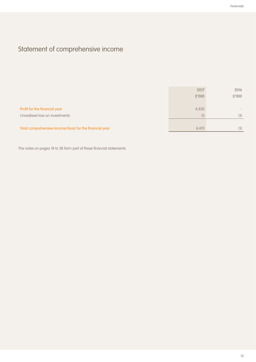# Statement of comprehensive income

|                                                          | 2017  | 2016                         |
|----------------------------------------------------------|-------|------------------------------|
|                                                          | £'000 | £'000                        |
|                                                          |       |                              |
| Profit for the financial year                            | 4,420 | $\qquad \qquad \blacksquare$ |
| Unrealised loss on investments                           | (1)   | (3)                          |
|                                                          |       |                              |
| Total comprehensive income/(loss) for the financial year | 4,419 | (3)                          |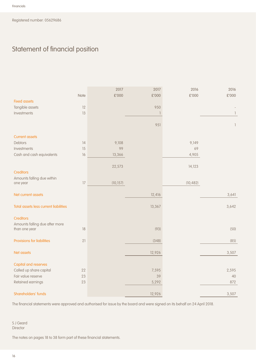# Statement of financial position

|                                                 |      | 2017      | 2017   | 2016      | 2016           |
|-------------------------------------------------|------|-----------|--------|-----------|----------------|
|                                                 | Note | £'000     | £'000  | £'000     | $\pounds$ '000 |
| <b>Fixed assets</b>                             |      |           |        |           |                |
| Tangible assets                                 | 12   |           | 950    |           |                |
| Investments                                     | 13   |           |        |           | 1              |
|                                                 |      |           |        |           |                |
|                                                 |      |           | 951    |           | 1              |
|                                                 |      |           |        |           |                |
| <b>Current assets</b>                           |      |           |        |           |                |
| Debtors                                         | 14   | 9,108     |        | 9,149     |                |
| Investments                                     | 15   | 99        |        | 69        |                |
| Cash and cash equivalents                       | 16   | 13,366    |        | 4,905     |                |
|                                                 |      |           |        |           |                |
|                                                 |      | 22,573    |        | 14,123    |                |
| <b>Creditors</b>                                |      |           |        |           |                |
| Amounts falling due within<br>one year          | 17   | (10, 157) |        | (10, 482) |                |
|                                                 |      |           |        |           |                |
| Net current assets                              |      |           | 12,416 |           | 3,641          |
|                                                 |      |           |        |           |                |
| Total assets less current liabilities           |      |           | 13,367 |           | 3,642          |
| <b>Creditors</b>                                |      |           |        |           |                |
|                                                 |      |           |        |           |                |
| Amounts falling due after more<br>than one year | 18   |           | (93)   |           | (50)           |
|                                                 |      |           |        |           |                |
| Provisions for liabilities                      | 21   |           | (348)  |           | (85)           |
|                                                 |      |           |        |           |                |
| Net assets                                      |      |           | 12,926 |           | 3,507          |
|                                                 |      |           |        |           |                |
| <b>Capital and reserves</b>                     |      |           |        |           |                |
| Called up share capital                         | 22   |           | 7,595  |           | 2,595          |
| Fair value reserve                              | 23   |           | 39     |           | 40             |
| Retained earnings                               | 23   |           | 5,292  |           | 872            |
|                                                 |      |           |        |           |                |
| Shareholders' funds                             |      |           | 12,926 |           | 3,507          |

The financial statements were approved and authorised for issue by the board and were signed on its behalf on 24 April 2018.

S J Geard **Director**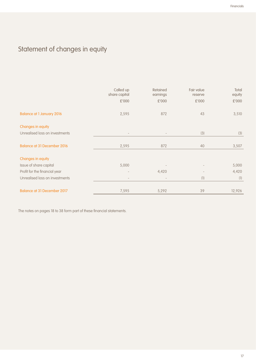# Statement of changes in equity

|                                    | Called up<br>share capital | Retained<br>earnings     | Fair value<br>reserve | Total<br>equity |
|------------------------------------|----------------------------|--------------------------|-----------------------|-----------------|
|                                    | £'000                      | £'000                    | £'000                 | £'000           |
| <b>Balance at 1 January 2016</b>   | 2,595                      | 872                      | 43                    | 3,510           |
| Changes in equity                  |                            |                          |                       |                 |
| Unrealised loss on investments     | $\overline{\phantom{a}}$   | $\overline{\phantom{a}}$ | (3)                   | (3)             |
| <b>Balance at 31 December 2016</b> | 2,595                      | 872                      | 40                    | 3,507           |
| Changes in equity                  |                            |                          |                       |                 |
| Issue of share capital             | 5,000                      |                          |                       | 5,000           |
| Profit for the financial year      |                            | 4,420                    |                       | 4,420           |
| Unrealised loss on investments     | $\qquad \qquad -$          |                          | (1)                   | (1)             |
|                                    |                            |                          |                       |                 |
| Balance at 31 December 2017        | 7,595                      | 5,292                    | 39                    | 12,926          |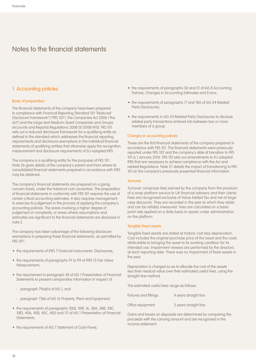## 1. Accounting policies

#### Basis of preparation

The financial statements of the company have been prepared in compliance with Financial Reporting Standard 101 "Reduced Disclosure Framework") ("FRS 101"), the Companies Act 2006 ("the Act") and the Large and Medium-Sized Companies and Groups (Accounts and Reports) Regulations 2008 (SI 2008/410). FRS 101 sets out a reduced disclosure framework for a qualifying entity as defined in the standard which addresses the financial reporting requirements and disclosure exemptions in the individual financial statements of qualifying entities that otherwise apply the recognition, measurement and disclosure requirements of EU-adopted IFRS.

The company is a qualifying entity for the purposes of FRS 101. Note 26 gives details of the company's parent and from where its consolidated financial statements prepared in accordance with IFRS may be obtained.

The company's financial statements are prepared on a going concern basis, under the historical cost convention. The preparation of financial statements in conformity with FRS 101 requires the use of certain critical accounting estimates. It also requires management to exercise its judgement in the process of applying the company's accounting policies. The areas involving a higher degree of judgement or complexity, or areas where assumptions and estimates are significant to the financial statements are disclosed in note 2.

The company has taken advantage of the following disclosure exemptions in preparing these financial statements, as permitted by FRS 101":

- the requirements of IFRS 7 Financial Instruments: Disclosures;
- the requirements of paragraphs 91 to 99 of IFRS 13 Fair Value Measurement;
- the requirement in paragraph 38 of IAS 1 Presentation of Financial Statements to present comparative information in respect of:
	- paragraph 79(a)(iv) of IAS 1; and
	- paragraph 73(e) of IAS 16 Property, Plant and Equipment;
- the requirements of paragraphs 10(d), 10(f), 16, 38A, 38B, 38C, 38D, 40A, 40B, 40C, 40D and 111 of IAS 1 Presentation of Financial Statements:
- the requirements of IAS 7 Statement of Cash Flows;
- the requirements of paragraphs 30 and 31 of IAS 8 Accounting Policies, Changes in Accounting Estimates and Errors;
- the requirements of paragraphs 17 and 18A of IAS 24 Related Party Disclosures;
- the requirements in IAS 24 Related Party Disclosures to disclose related party transactions entered into between two or more members of a group.

#### Changes in accounting policies

These are the first financial statements of the company prepared in accordance with FRS 101. The financial statements were previously reported under FRS 102 and the company's date of transition to FRS 101 is 1 January 2016. FRS 101 sets out amendments to EU adopted IFRS that are necessary to achieve compliance with the Act and related Regulations. Note 27 details the impact of transitioning to FRS 101 on the company's previously presented financial information.

#### **Turnover**

Turnover comprises fees earned by the company from the provision of a wrap platform service to UK financial advisers and their clients. Fees are recognised exclusive of Value Added Tax and net of large case discounts. They are recorded in the year to which they relate and can be reliably measured. Fees are calculated on a basis point rate applied on a daily basis to assets under administration on the platform.

#### Tangible fixed assets

Tangible fixed assets are stated at historic cost less depreciation. Cost includes the original purchase price of the asset and the costs attributable to bringing the asset to its working condition for its intended use. Impairment reviews are performed by the directors at each reporting date. There was no impairment of fixed assets in the year.

Depreciation is charged so as to allocate the cost of the assets less their residual value over their estimated useful lives, using the straight-line method.

The estimated useful lives range as follows:

| Fixtures and fittings | 4 years straight line |
|-----------------------|-----------------------|
| Office equipment      | 3 years straight line |

Gains and losses on disposals are determined by comparing the proceeds with the carrying amount and are recognised in the income statement.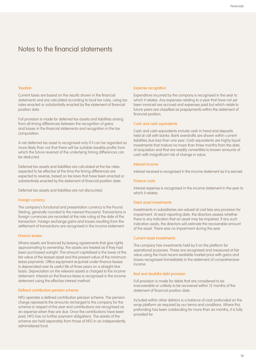#### **Taxation**

Current taxes are based on the results shown in the financial statements and are calculated according to local tax rules, using tax rates enacted or substantially enacted by the statement of financial position date.

Full provision is made for deferred tax assets and liabilities arising from all timing differences between the recognition of gains and losses in the financial statements and recognition in the tax computation.

A net deferred tax asset is recognised only if it can be regarded as more likely than not that there will be suitable taxable profits from which the future reversal of the underlying timing differences can be deducted.

Deferred tax assets and liabilities are calculated at the tax rates expected to be effective at the time the timing differences are expected to reverse, based on tax laws that have been enacted or substantively enacted by the statement of financial position date.

Deferred tax assets and liabilities are not discounted.

#### Foreign currency

The company's functional and presentation currency is the Pound Sterling, generally rounded to the nearest thousand. Transactions in foreign currencies are recorded at the rate ruling at the date of the transaction. Foreign exchange gains and losses resulting from the settlement of transactions are recognised in the income statement.

#### Finance leases

Where assets are financed by leasing agreements that give rights approximating to ownership, the assets are treated as if they had been purchased outright. The amount capitalised is the lower of the fair value of the leased asset and the present value of the minimum lease payments. Office equipment acquired under finance leases is depreciated over its useful life of three years on a straight-line basis. Depreciation on the relevant assets is charged to the income statement. Interest on the finance lease is recognised in the income statement using the effective interest method.

#### Defined contribution pension scheme

NFG operates a defined contribution pension scheme. The pension charge represents the amounts recharged to the company for the scheme in respect of the year and contributions are recognised as an expense when they are due. Once the contributions have been paid, NFG has no further payment obligations. The assets of the scheme are held separately from those of NFG in an independently administered fund.

#### Expense recognition

Expenditure incurred by the company is recognised in the year to which it relates. Any expenses relating to a year that have not yet been invoiced are accrued and expenses paid but which relate to future years are classified as prepayments within the statement of financial position.

#### Cash and cash equivalents

Cash and cash equivalents include cash in hand and deposits held at call with banks. Bank overdrafts are shown within current liabilities due less than one year. Cash equivalents are highly liquid investments that mature no more than three months from the date of acquisition and that are readily convertible to known amounts of cash with insignificant risk of change in value.

#### Interest income

Interest received is recognised in the income statement as it is earned.

#### Finance costs

Interest expense is recognised in the income statement in the year to which it relates.

#### Fixed asset investments

Investments in subsidiaries are valued at cost less any provision for impairment. At each reporting date, the directors assess whether there is any indication that an asset may be impaired. If any such indication exists, the directors will estimate the recoverable amount of the asset. There was no impairment during the year

#### Current asset investments

The company has investments held by it on the platform for operational purposes. These are recognised and measured at fair value using the most recent available market price with gains and losses recognised immediately in the statement of comprehensive income.

#### Bad and doubtful debt provision

Full provision is made for debts that are considered to be irrecoverable or unlikely to be recovered within 12 months of the statement of financial position date.

Included within other debtors is a balance of cash prefunded on the wrap platform as required by our terms and conditions. Where this prefunding has been outstanding for more than six months, it is fully provided for.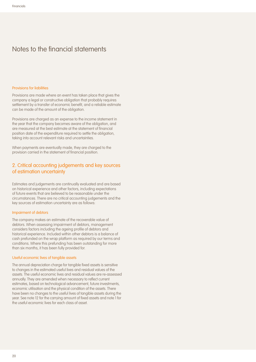#### Provisions for liabilities

Provisions are made where an event has taken place that gives the company a legal or constructive obligation that probably requires settlement by a transfer of economic benefit, and a reliable estimate can be made of the amount of the obligation.

Provisions are charged as an expense to the income statement in the year that the company becomes aware of the obligation, and are measured at the best estimate at the statement of financial position date of the expenditure required to settle the obligation, taking into account relevant risks and uncertainties.

When payments are eventually made, they are charged to the provision carried in the statement of financial position.

## 2. Critical accounting judgements and key sources of estimation uncertainty

Estimates and judgements are continually evaluated and are based on historical experience and other factors, including expectations of future events that are believed to be reasonable under the circumstances. There are no critical accounting judgements and the key sources of estimation uncertainty are as follows:

#### Impairment of debtors

The company makes an estimate of the recoverable value of debtors. When assessing impairment of debtors, management considers factors including the ageing profile of debtors and historical experience. Included within other debtors is a balance of cash prefunded on the wrap platform as required by our terms and conditions. Where this prefunding has been outstanding for more than six months, it has been fully provided for.

#### Useful economic lives of tangible assets

The annual depreciation charge for tangible fixed assets is sensitive to changes in the estimated useful lives and residual values of the assets. The useful economic lives and residual values are re-assessed annually. They are amended when necessary to reflect current estimates, based on technological advancement, future investments, economic utilisation and the physical condition of the assets. There have been no changes to the useful lives of tangible assets during the year. See note 12 for the carrying amount of fixed assets and note 1 for the useful economic lives for each class of asset.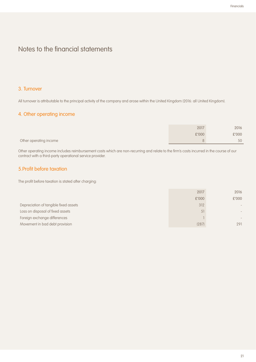## 3. Turnover

All turnover is attributable to the principal activity of the company and arose within the United Kingdom (2016: all United Kingdom).

# 4. Other operating income

|                        | 2017  | 2016  |
|------------------------|-------|-------|
|                        | £'000 | £'000 |
| Other operating income |       | 50    |

Other operating income includes reimbursement costs which are non-recurring and relate to the firm's costs incurred in the course of our contract with a third-party operational service provider.

## 5.Profit before taxation

The profit before taxation is stated after charging:

|                                       | 2017  | 2016                         |
|---------------------------------------|-------|------------------------------|
|                                       | £'000 | £'000                        |
| Depreciation of tangible fixed assets | 312   | $\qquad \qquad \blacksquare$ |
| Loss on disposal of fixed assets      | 51    | $\qquad \qquad \blacksquare$ |
| Foreign exchange differences          |       |                              |
| Movement in bad debt provision        | (287) | 291                          |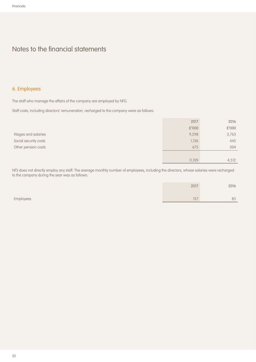# 6. Employees

The staff who manage the affairs of the company are employed by NFG.

Staff costs, including directors' remuneration, recharged to the company were as follows:

|                       | 2017   | 2016  |
|-----------------------|--------|-------|
|                       | £'000  | £'000 |
| Wages and salaries    | 9,298  | 3,763 |
| Social security costs | 1,136  | 445   |
| Other pension costs   | 675    | 304   |
|                       |        |       |
|                       | 11,109 | 4,512 |

NFS does not directly employ any staff. The average monthly number of employees, including the directors, whose salaries were recharged to the company during the year was as follows:

|           | 2017 | 2016 |
|-----------|------|------|
| Employees | 157  | 85   |
|           |      |      |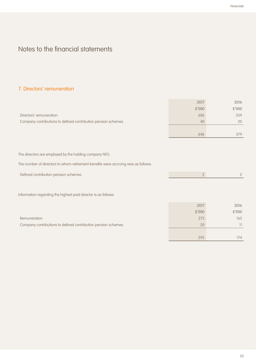# 7. Directors' remuneration

| £'000<br>606<br>40<br>646 | £'000<br>359<br>20<br>379<br>$\overline{2}$ |
|---------------------------|---------------------------------------------|
|                           |                                             |
|                           |                                             |
|                           |                                             |
|                           |                                             |
|                           |                                             |
|                           |                                             |
|                           |                                             |
|                           |                                             |
|                           |                                             |
| $2^{\circ}$               |                                             |
|                           |                                             |
|                           |                                             |
|                           |                                             |
|                           |                                             |
| 2017                      | 2016                                        |
| £'000                     | £'000                                       |
|                           | 163                                         |
| 275                       | $\overline{\phantom{a}}$                    |
| 20                        |                                             |
| 295                       | 174                                         |
|                           |                                             |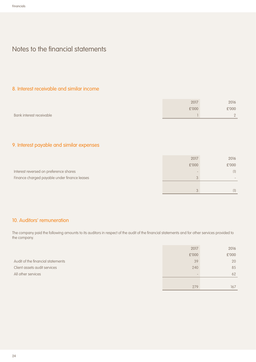## 8. Interest receivable and similar income

|                          | 2017  | 2016     |
|--------------------------|-------|----------|
|                          | £'000 | £'000    |
| Bank interest receivable |       | $\Omega$ |

# 9. Interest payable and similar expenses

|                                              | 2017  | 2016  |
|----------------------------------------------|-------|-------|
|                                              | £'000 | £'000 |
| Interest reversed on preference shares       |       | (1)   |
| Finance charged payable under finance leases |       |       |
|                                              |       |       |
|                                              |       | (1)   |

## 10. Auditors' remuneration

The company paid the following amounts to its auditors in respect of the audit of the financial statements and for other services provided to the company.

|                                   | 2017  | 2016  |
|-----------------------------------|-------|-------|
|                                   | £'000 | £'000 |
| Audit of the financial statements | 39    | 20    |
| Client assets audit services      | 240   | 85    |
| All other services                |       | 62    |
|                                   |       |       |
|                                   | 279   | 167   |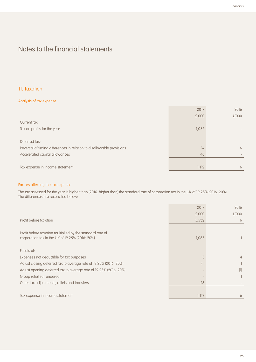## 11. Taxation

#### Analysis of tax expense

|                                                                       | 2017  | 2016                     |
|-----------------------------------------------------------------------|-------|--------------------------|
|                                                                       | £'000 | £'000                    |
| Current tax:                                                          |       |                          |
| Tax on profits for the year                                           | 1,052 |                          |
|                                                                       |       |                          |
| Deferred tax:                                                         |       |                          |
| Reversal of timing differences in relation to disallowable provisions | 14    | 6                        |
| Accelerated capital allowances                                        | 46    | $\overline{\phantom{a}}$ |
|                                                                       |       |                          |
| Tax expense in income statement                                       | 1,112 | 6                        |

#### Factors affecting the tax expense

The tax assessed for the year is higher than (2016: higher than) the standard rate of corporation tax in the UK of 19.25% (2016: 20%). The differences are reconciled below:

|                                                                                                              | 2017  | 2016  |
|--------------------------------------------------------------------------------------------------------------|-------|-------|
|                                                                                                              | £'000 | £'000 |
| Profit before taxation                                                                                       | 5,532 | 6     |
| Profit before taxation multiplied by the standard rate of<br>corporation tax in the UK of 19.25% (2016: 20%) | 1,065 |       |
| Effects of:                                                                                                  |       |       |
| Expenses not deductible for tax purposes                                                                     | 5     | 4     |
| Adjust closing deferred tax to average rate of 19.25% (2016: 20%)                                            | (1)   |       |
| Adjust opening deferred tax to average rate of 19.25% (2016: 20%)                                            |       | (1)   |
| Group relief surrendered                                                                                     |       |       |
| Other tax adjustments, reliefs and transfers                                                                 | 43    |       |
|                                                                                                              |       |       |
| Tax expense in income statement                                                                              | 1,112 | 6     |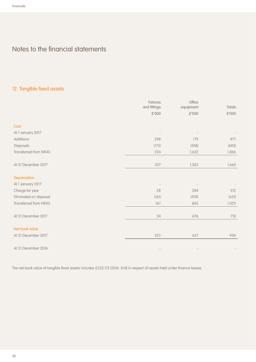# 12. Tangible fixed assets

|                               | Fixtures<br>and fittings | Office<br>equipment      | <b>Totals</b> |
|-------------------------------|--------------------------|--------------------------|---------------|
|                               | £'000                    | $\pounds$ '000           | £'000         |
|                               |                          |                          |               |
| Cost                          |                          |                          |               |
| At 1 January 2017             |                          |                          |               |
| Additions                     | 298                      | 179                      | 477           |
| Disposals                     | (175)                    | (508)                    | (683)         |
| <b>Transferred from NIFAS</b> | 234                      | 1,632                    | 1,866         |
|                               |                          |                          |               |
| At 31 December 2017           | 357                      | 1,303                    | 1,660         |
|                               |                          |                          |               |
| Depreciation                  |                          |                          |               |
| At 1 January 2017             |                          |                          |               |
| Charge for year               | 28                       | 284                      | 312           |
| Eliminated on disposal        | (161)                    | (470)                    | (631)         |
| Transferred from NIFAS        | 167                      | 862                      | 1,029         |
|                               |                          |                          |               |
| At 31 December 2017           | 34                       | 676                      | 710           |
|                               |                          |                          |               |
| Net book value                |                          |                          |               |
| At 31 December 2017           | 323                      | 627                      | 950           |
| At 31 December 2016           |                          |                          |               |
|                               | $\overline{\phantom{a}}$ | $\overline{\phantom{a}}$ |               |

The net book value of tangible fixed assets includes £232,113 (2016: £nil) in respect of assets held under finance leases.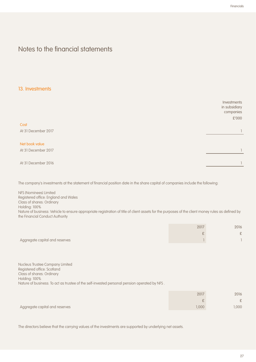## 13. Investments

|                     | Investments<br>in subsidiary<br>companies<br>£'000 |
|---------------------|----------------------------------------------------|
| Cost                |                                                    |
| At 31 December 2017 |                                                    |
| Net book value      |                                                    |
| At 31 December 2017 |                                                    |
| At 31 December 2016 |                                                    |

The company's investments at the statement of financial position date in the share capital of companies include the following:

NFS (Nominees) Limited Registered office: England and Wales Class of shares: Ordinary Holding: 100% Nature of business: Vehicle to ensure appropriate registration of title of client assets for the purposes of the client money rules as defined by the Financial Conduct Authority

|                                | 2017 | 2016   |
|--------------------------------|------|--------|
|                                |      | $\sim$ |
| Aggregate capital and reserves |      |        |

Nucleus Trustee Company Limited Registered office: Scotland Class of shares: Ordinary Holding: 100% Nature of business: To act as trustee of the self-invested personal pension operated by NFS .

|                                | 2017 | 2016   |
|--------------------------------|------|--------|
|                                |      | $\sim$ |
| Aggregate capital and reserves | 000, | ,000   |

The directors believe that the carrying values of the investments are supported by underlying net assets.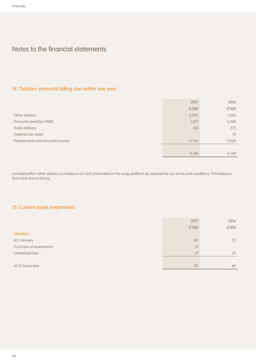# 14. Debtors: amounts falling due within one year

|                                | 2017  | 2016  |
|--------------------------------|-------|-------|
|                                | £'000 | £'000 |
| Other debtors                  | 2,042 | 1,464 |
| Amounts owed by HMRC           | 1,831 | 3,446 |
| Trade debtors                  | 481   | 275   |
| Deferred tax asset             |       | 14    |
| Prepayments and accrued income | 4,754 | 3,950 |
|                                |       |       |
|                                | 9,108 | 9.149 |

Included within other debtors is a balance of cash prefunded on the wrap platform as required by our terms and conditions. This balance fluctuates due to timing.

# 15. Current asset investments

|                         | 2017  | 2016                         |
|-------------------------|-------|------------------------------|
|                         | £'000 | £'000                        |
| Valuation:              |       |                              |
| At 1 January            | 69    | 72                           |
| Purchase of investments | 31    | $\qquad \qquad \blacksquare$ |
| Unrealised loss         | (1)   | (3)                          |
|                         |       |                              |
| At 31 December          | 99    | 69                           |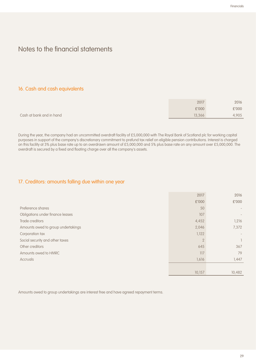# 16. Cash and cash equivalents

|                          | 2017   | 2016  |
|--------------------------|--------|-------|
|                          | £'000  | £'000 |
| Cash at bank and in hand | 13,366 | 4,905 |

During the year, the company had an uncommitted overdraft facility of £5,000,000 with The Royal Bank of Scotland plc for working capital purposes in support of the company's discretionary commitment to prefund tax relief on eligible pension contributions. Interest is charged on this facility at 3% plus base rate up to an overdrawn amount of £5,000,000 and 5% plus base rate on any amount over £5,000,000. The overdraft is secured by a fixed and floating charge over all the company's assets.

# 17. Creditors: amounts falling due within one year

|                                    | 2017           | 2016   |
|------------------------------------|----------------|--------|
|                                    | £'000          | £'000  |
| Preference shares                  | 50             |        |
| Obligations under finance leases   | 107            |        |
| Trade creditors                    | 4,452          | 1,216  |
| Amounts owed to group undertakings | 2,046          | 7,372  |
| Corporation tax                    | 1,122          |        |
| Social security and other taxes    | $\overline{2}$ |        |
| Other creditors                    | 645            | 367    |
| Amounts owed to HMRC               | 117            | 79     |
| <b>Accruals</b>                    | 1,616          | 1,447  |
|                                    |                |        |
|                                    | 10,157         | 10,482 |

Amounts owed to group undertakings are interest free and have agreed repayment terms.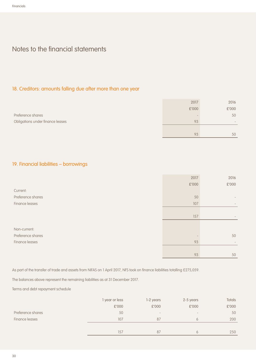# 18. Creditors: amounts falling due after more than one year

|                                  | 2017  | 2016            |
|----------------------------------|-------|-----------------|
|                                  | £'000 | £'000           |
| Preference shares                |       | 50              |
| Obligations under finance leases | 93    | $\qquad \qquad$ |
|                                  |       |                 |
|                                  | 93    | 50              |

# 19. Financial liabilities – borrowings

| £'000<br>$\pounds'000$<br>50<br>107<br>157<br>50<br>93<br>$\qquad \qquad -$<br>93<br>50 |                   | 2017 | 2016 |
|-----------------------------------------------------------------------------------------|-------------------|------|------|
|                                                                                         |                   |      |      |
|                                                                                         | Current:          |      |      |
|                                                                                         | Preference shares |      |      |
|                                                                                         | Finance leases    |      |      |
|                                                                                         |                   |      |      |
|                                                                                         |                   |      |      |
|                                                                                         |                   |      |      |
|                                                                                         | Non-current:      |      |      |
|                                                                                         | Preference shares |      |      |
|                                                                                         | Finance leases    |      |      |
|                                                                                         |                   |      |      |
|                                                                                         |                   |      |      |

As part of the transfer of trade and assets from NIFAS on 1 April 2017, NFS took on finance liabilities totalling £275,059.

The balances above represent the remaining liabilities as at 31 December 2017.

Terms and debt repayment schedule

|                   | 1 year or less | 1-2 years                    | 2-5 years                    | Totals |
|-------------------|----------------|------------------------------|------------------------------|--------|
|                   | £'000          | £'000                        | £'000                        | £'000  |
| Preference shares | 50             | $\qquad \qquad \blacksquare$ | $\qquad \qquad \blacksquare$ | 50     |
| Finance leases    | 107            | 87                           | 6                            | 200    |
|                   |                |                              |                              |        |
|                   | 157            | 87                           |                              | 250    |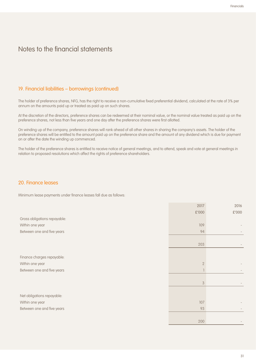## 19. Financial liabilities – borrowings (continued)

The holder of preference shares, NFG, has the right to receive a non-cumulative fixed preferential dividend, calculated at the rate of 3% per annum on the amounts paid up or treated as paid up on such shares.

At the discretion of the directors, preference shares can be redeemed at their nominal value, or the nominal value treated as paid up on the preference shares, not less than five years and one day after the preference shares were first allotted.

On winding up of the company, preference shares will rank ahead of all other shares in sharing the company's assets. The holder of the preference shares will be entitled to the amount paid up on the preference share and the amount of any dividend which is due for payment on or after the date the winding up commenced.

The holder of the preference shares is entitled to receive notice of general meetings, and to attend, speak and vote at general meetings in relation to proposed resolutions which affect the rights of preference shareholders.

## 20. Finance leases

Minimum lease payments under finance leases fall due as follows:

|                              | 2017           | 2016  |
|------------------------------|----------------|-------|
|                              | £'000          | £'000 |
| Gross obligations repayable: |                |       |
| Within one year              | 109            |       |
| Between one and five years   | 94             |       |
|                              |                |       |
|                              | 203            |       |
|                              |                |       |
| Finance charges repayable:   |                |       |
| Within one year              | $\overline{2}$ |       |
| Between one and five years   |                |       |
|                              |                |       |
|                              | $\mathfrak{Z}$ |       |
|                              |                |       |
| Net obligations repayable:   |                |       |
| Within one year              | 107            |       |
| Between one and five years   | 93             |       |
|                              |                |       |
|                              | 200            |       |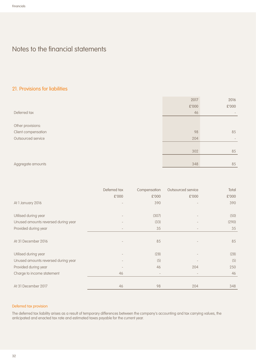## 21. Provisions for liabilities

|                     | 2017  | 2016              |
|---------------------|-------|-------------------|
|                     | £'000 | £'000             |
| Deferred tax        | 46    |                   |
|                     |       |                   |
| Other provisions:   |       |                   |
| Client compensation | 98    | 85                |
| Outsourced service  | 204   | $\qquad \qquad -$ |
|                     |       |                   |
|                     | 302   | 85                |
|                     |       |                   |
| Aggregate amounts   | 348   | 85                |

|                                     | Deferred tax             | Compensation | Outsourced service       | Total |
|-------------------------------------|--------------------------|--------------|--------------------------|-------|
|                                     | £'000                    | £'000        | £'000                    | £'000 |
| At 1 January 2016                   |                          | 390          |                          | 390   |
| Utilised during year                |                          | (307)        |                          | (50)  |
| Unused amounts reversed during year |                          | (33)         |                          | (290) |
| Provided during year                | $\overline{\phantom{a}}$ | 35           | $\overline{\phantom{a}}$ | 35    |
| At 31 December 2016                 |                          | 85           |                          | 85    |
| Utilised during year                | $\overline{\phantom{a}}$ | (28)         |                          | (28)  |
| Unused amounts reversed during year |                          | (5)          |                          | (5)   |
| Provided during year                |                          | 46           | 204                      | 250   |
| Charge to income statement          | 46                       |              | $\overline{\phantom{a}}$ | 46    |
| At 31 December 2017                 | 46                       | 98           | 204                      | 348   |

#### Deferred tax provision

The deferred tax liability arises as a result of temporary differences between the company's accounting and tax carrying values, the anticipated and enacted tax rate and estimated taxes payable for the current year.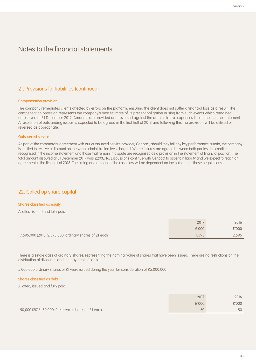## 21. Provisions for liabilities (continued)

#### Compensation provision

The company remediates clients affected by errors on the platform, ensuring the client does not suffer a financial loss as a result. The compensation provision represents the company's best estimate of its present obligation arising from such events which remained unresolved at 31 December 2017. Amounts are provided and reversed against the administrative expenses line in the income statement. A resolution of outstanding issues is expected to be agreed in the first half of 2018 and following this the provision will be utilised or reversed as appropriate.

#### Outsourced service

As part of the commercial agreement with our outsourced service provider, Genpact, should they fail any key performance criteria, the company is entitled to receive a discount on the wrap administration fees charged. Where failures are agreed between both parties, the credit is recognised in the income statement and those that remain in dispute are recognised as a provision in the statement of financial position. The total amount disputed at 31 December 2017 was £203,716. Discussions continue with Genpact to ascertain liability and we expect to reach an agreement in the first half of 2018. The timing and amount of the cash flow will be dependent on the outcome of these negotiations.

## 22. Called up share capital

#### Shares classified as equity:

Allotted, issued and fully paid:

|                                                        | 2017  | 2016  |
|--------------------------------------------------------|-------|-------|
|                                                        | £'000 | £'000 |
| 7,595,000 (2016: 2,595,000) ordinary shares of £1 each | 7.595 | 2,595 |

There is a single class of ordinary shares, representing the nominal value of shares that have been issued. There are no restrictions on the distribution of dividends and the payment of capital.

5,000,000 ordinary shares of £1 were issued during the year for consideration of £5,000,000.

#### Shares classified as debt:

Allotted, issued and fully paid:

|                                                    | 2017  | 2016  |
|----------------------------------------------------|-------|-------|
|                                                    | £'000 | £'000 |
| 50,000 (2016: 50,000) Preference shares of £1 each | 50    | 50    |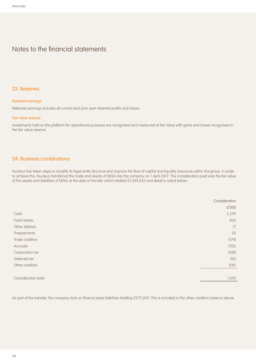#### 23. Reserves

#### Retained earnings

Retained earnings includes all current and prior year retained profits and losses.

#### Fair value reserve

Investments held on the platform for operational purposes are recognised and measured at fair value with gains and losses recognised in the fair value reserve.

## 24. Business combinations

Nucleus has taken steps to simplify its legal entity structure and improve the flow of capital and liquidity resources within the group. In order to achieve this, Nucleus transferred the trade and assets of NIFAS into the company on 1 April 2017. The consideration paid was the fair value of the assets and liabilities of NIFAS at the date of transfer which totalled £1,344,632 and detail is noted below:

|                    | Consideration |
|--------------------|---------------|
|                    | £'000         |
| Cash               | 2,339         |
| Fixed assets       | 836           |
| Other debtors      | 17            |
| Prepayments        | 26            |
| Trade creditors    | (570)         |
| Accruals           | (702)         |
| Corporation tax    | (288)         |
| Deferred tax       | (32)          |
| Other creditors    | (281)         |
|                    |               |
| Consideration paid | 1,345         |

As part of the transfer, the company took on finance lease liabilities totalling £275,059. This is included in the other creditors balance above.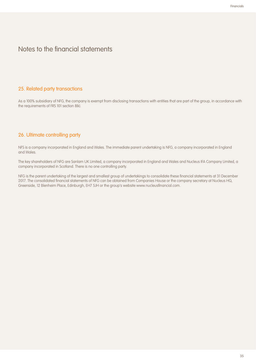## 25. Related party transactions

As a 100% subsidiary of NFG, the company is exempt from disclosing transactions with entities that are part of the group, in accordance with the requirements of FRS 101 section 8(k).

## 26. Ultimate controlling party

NFS is a company incorporated in England and Wales. The immediate parent undertaking is NFG, a company incorporated in England and Wales.

The key shareholders of NFG are Sanlam UK Limited, a company incorporated in England and Wales and Nucleus IFA Company Limited, a company incorporated in Scotland. There is no one controlling party.

NFG is the parent undertaking of the largest and smallest group of undertakings to consolidate these financial statements at 31 December 2017. The consolidated financial statements of NFG can be obtained from Companies House or the company secretary at Nucleus HQ, Greenside, 12 Blenheim Place, Edinburgh, EH7 5JH or the group's website www.nucleusfinancial.com.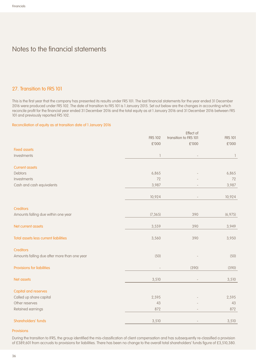## 27. Transition to FRS 101

This is the first year that the company has presented its results under FRS 101. The last financial statements for the year ended 31 December 2016 were produced under FRS 102. The date of transition to FRS 101 is 1 January 2015. Set out below are the changes in accounting which reconcile profit for the financial year ended 31 December 2016 and the total equity as at 1 January 2016 and 31 December 2016 between FRS 101 and previously reported FRS 102.

#### Reconciliation of equity as at transition date of 1 January 2016

|                                              |                | Effect of             |                |
|----------------------------------------------|----------------|-----------------------|----------------|
|                                              | <b>FRS 102</b> | transition to FRS 101 | <b>FRS 101</b> |
|                                              | £'000          | £'000                 | £'000          |
| <b>Fixed assets</b>                          |                |                       |                |
| Investments                                  | 1              |                       |                |
| <b>Current assets</b>                        |                |                       |                |
| Debtors                                      | 6,865          |                       | 6,865          |
| Investments                                  | 72             |                       | 72             |
| Cash and cash equivalents                    | 3,987          |                       | 3,987          |
|                                              | 10,924         |                       | 10,924         |
| <b>Creditors</b>                             |                |                       |                |
| Amounts falling due within one year          | (7, 365)       | 390                   | (6,975)        |
| Net current assets                           | 3,559          | 390                   | 3,949          |
| Total assets less current liabilities        | 3,560          | 390                   | 3,950          |
| <b>Creditors</b>                             |                |                       |                |
| Amounts falling due after more than one year | (50)           |                       | (50)           |
| <b>Provisions for liabilities</b>            |                | (390)                 | (390)          |
| Net assets                                   | 3,510          |                       | 3,510          |
| <b>Capital and reserves</b>                  |                |                       |                |
| Called up share capital                      | 2,595          |                       | 2,595          |
| Other reserves                               | 43             |                       | 43             |
| Retained earnings                            | 872            |                       | 872            |
| Shareholders' funds                          | 3,510          |                       | 3,510          |

#### Provisions

During the transition to IFRS, the group identified the mis-classification of client compensation and has subsequently re-classified a provision of £389,601 from accruals to provisions for liabilities. There has been no change to the overall total shareholders' funds figure of £3,510,380.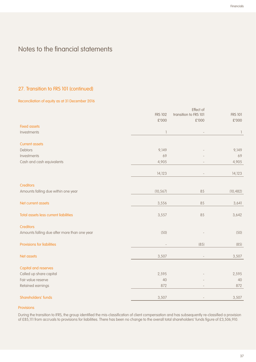## 27. Transition to FRS 101 (continued)

#### Reconciliation of equity as at 31 December 2016

|                                              |                | Effect of             |                |  |
|----------------------------------------------|----------------|-----------------------|----------------|--|
|                                              | <b>FRS 102</b> | transition to FRS 101 | <b>FRS 101</b> |  |
|                                              | £'000          | £'000                 | $\pounds'000$  |  |
| <b>Fixed assets</b>                          |                |                       |                |  |
| Investments                                  |                |                       |                |  |
| <b>Current assets</b>                        |                |                       |                |  |
| <b>Debtors</b>                               | 9,149          |                       | 9,149          |  |
| Investments                                  | 69             |                       | 69             |  |
| Cash and cash equivalents                    | 4,905          |                       | 4,905          |  |
|                                              | 14,123         |                       | 14,123         |  |
| <b>Creditors</b>                             |                |                       |                |  |
| Amounts falling due within one year          | (10, 567)      | 85                    | (10, 482)      |  |
| Net current assets                           | 3,556          | 85                    | 3,641          |  |
| Total assets less current liabilities        | 3,557          | 85                    | 3,642          |  |
| <b>Creditors</b>                             |                |                       |                |  |
| Amounts falling due after more than one year | (50)           |                       | (50)           |  |
| Provisions for liabilities                   |                | (85)                  | (85)           |  |
| Net assets                                   | 3,507          |                       | 3,507          |  |
| <b>Capital and reserves</b>                  |                |                       |                |  |
| Called up share capital                      | 2,595          |                       | 2,595          |  |
| Fair value reserve                           | 40             |                       | 40             |  |
| Retained earnings                            | 872            |                       | 872            |  |
| Shareholders' funds                          | 3,507          |                       | 3,507          |  |
|                                              |                |                       |                |  |

#### Provisions

During the transition to IFRS, the group identified the mis-classification of client compensation and has subsequently re-classified a provision of £85,111 from accruals to provisions for liabilities. There has been no change to the overall total shareholders' funds figure of £3,506,910.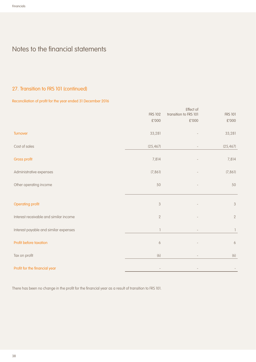## 27. Transition to FRS 101 (continued)

## Reconciliation of profit for the year ended 31 December 2016

|                                        | <b>FRS 102</b>   | Effect of<br>transition to FRS 101 | <b>FRS 101</b>   |
|----------------------------------------|------------------|------------------------------------|------------------|
|                                        | £'000            | £'000                              | $\pounds'000$    |
| Turnover                               | 33,281           |                                    | 33,281           |
| Cost of sales                          | (25, 467)        |                                    | (25, 467)        |
| Gross profit                           | 7,814            |                                    | 7,814            |
| Administrative expenses                | (7, 86]          |                                    | (7, 86]          |
| Other operating income                 | 50               |                                    | 50               |
|                                        |                  |                                    |                  |
| <b>Operating profit</b>                | $\sqrt{3}$       |                                    | $\sqrt{3}$       |
| Interest receivable and similar income | $\sqrt{2}$       |                                    | $\sqrt{2}$       |
| Interest payable and similar expenses  |                  |                                    | $\mathbb{I}$     |
| Profit before taxation                 | $\boldsymbol{6}$ |                                    | $\boldsymbol{6}$ |
| Tax on profit                          | (6)              |                                    | (6)              |
| Profit for the financial year          |                  |                                    |                  |

There has been no change in the profit for the financial year as a result of transition to FRS 101.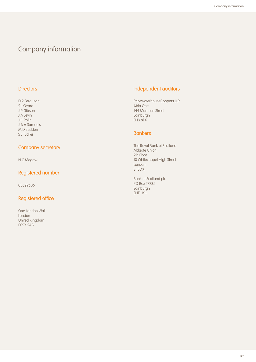# Company information

## **Directors**

D R Ferguson S J Geard J P Gibson J A Levin J C Polin J A A Samuels M D Seddon S J Tucker

## Company secretary

N C Megaw

# Registered number

05629686

# Registered office

One London Wall London United Kingdom EC2Y 5AB

# Independent auditors

PricewaterhouseCoopers LLP Atria One 144 Morrison Street Edinburgh EH3 8EX

## **Bankers**

The Royal Bank of Scotland Aldgate Union 7th Floor 10 Whitechapel High Street London E1 8DX

Bank of Scotland plc PO Box 17235 Edinburgh EH11 1YH